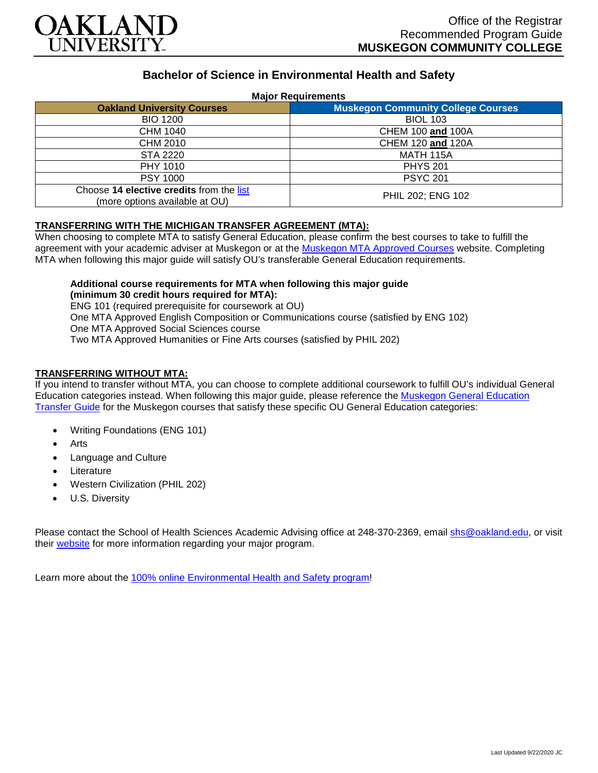

# **Bachelor of Science in Environmental Health and Safety**

#### **Major Requirements**

| <b>Oakland University Courses</b>                                          | <b>Muskegon Community College Courses</b> |
|----------------------------------------------------------------------------|-------------------------------------------|
| <b>BIO 1200</b>                                                            | <b>BIOL 103</b>                           |
| CHM 1040                                                                   | CHEM 100 and 100A                         |
| CHM 2010                                                                   | CHEM 120 and 120A                         |
| STA 2220                                                                   | MATH 115A                                 |
| PHY 1010                                                                   | <b>PHYS 201</b>                           |
| <b>PSY 1000</b>                                                            | <b>PSYC 201</b>                           |
| Choose 14 elective credits from the list<br>(more options available at OU) | PHIL 202; ENG 102                         |

#### **TRANSFERRING WITH THE MICHIGAN TRANSFER AGREEMENT (MTA):**

When choosing to complete MTA to satisfy General Education, please confirm the best courses to take to fulfill the agreement with your academic adviser at Muskegon or at the [Muskegon MTA Approved Courses](https://www.muskegoncc.edu/transferservices/michigan-transfer-agreement/) website. Completing MTA when following this major guide will satisfy OU's transferable General Education requirements.

### **Additional course requirements for MTA when following this major guide (minimum 30 credit hours required for MTA):**

ENG 101 (required prerequisite for coursework at OU) One MTA Approved English Composition or Communications course (satisfied by ENG 102) One MTA Approved Social Sciences course Two MTA Approved Humanities or Fine Arts courses (satisfied by PHIL 202)

### **TRANSFERRING WITHOUT MTA:**

If you intend to transfer without MTA, you can choose to complete additional coursework to fulfill OU's individual General Education categories instead. When following this major guide, please reference the [Muskegon General Education](https://www.oakland.edu/Assets/Oakland/program-guides/muskegon-community-college/university-general-education-requirements/Muskegon%20Gen%20Ed.pdf)  [Transfer Guide](https://www.oakland.edu/Assets/Oakland/program-guides/muskegon-community-college/university-general-education-requirements/Muskegon%20Gen%20Ed.pdf) for the Muskegon courses that satisfy these specific OU General Education categories:

- Writing Foundations (ENG 101)
- **Arts**
- Language and Culture
- **Literature**
- Western Civilization (PHIL 202)
- U.S. Diversity

Please contact the School of Health Sciences Academic Advising office at 248-370-2369, email [shs@oakland.edu,](mailto:shs@oakland.edu) or visit their [website](http://www.oakland.edu/shs/advising) for more information regarding your major program.

Learn more about the [100% online Environmental Health and Safety program!](https://www.oakland.edu/online/undergraduate-degree-programs/ehs/)